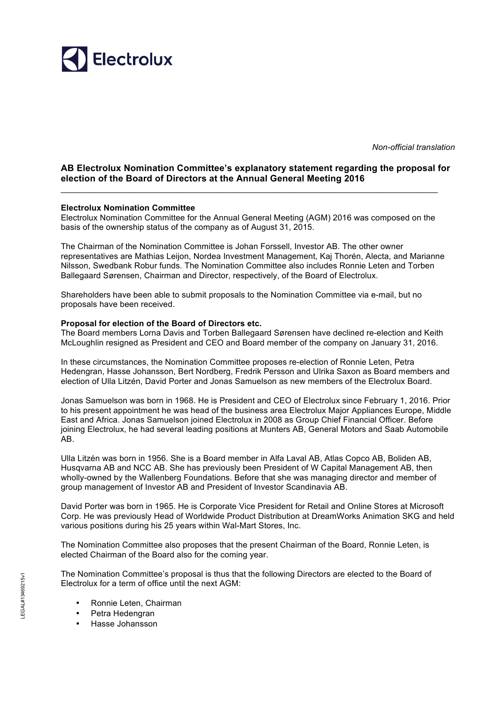

*Non-official translation*

## **AB Electrolux Nomination Committee's explanatory statement regarding the proposal for election of the Board of Directors at the Annual General Meeting 2016**

## **Electrolux Nomination Committee**

Electrolux Nomination Committee for the Annual General Meeting (AGM) 2016 was composed on the basis of the ownership status of the company as of August 31, 2015.

 $\mathcal{L}_\text{max}$  , and the contribution of the contribution of the contribution of the contribution of the contribution of the contribution of the contribution of the contribution of the contribution of the contribution of t

The Chairman of the Nomination Committee is Johan Forssell, Investor AB. The other owner representatives are Mathias Leijon, Nordea Investment Management, Kaj Thorén, Alecta, and Marianne Nilsson, Swedbank Robur funds. The Nomination Committee also includes Ronnie Leten and Torben Ballegaard Sørensen, Chairman and Director, respectively, of the Board of Electrolux.

Shareholders have been able to submit proposals to the Nomination Committee via e-mail, but no proposals have been received.

## **Proposal for election of the Board of Directors etc.**

The Board members Lorna Davis and Torben Ballegaard Sørensen have declined re-election and Keith McLoughlin resigned as President and CEO and Board member of the company on January 31, 2016.

In these circumstances, the Nomination Committee proposes re-election of Ronnie Leten, Petra Hedengran, Hasse Johansson, Bert Nordberg, Fredrik Persson and Ulrika Saxon as Board members and election of Ulla Litzén, David Porter and Jonas Samuelson as new members of the Electrolux Board.

Jonas Samuelson was born in 1968. He is President and CEO of Electrolux since February 1, 2016. Prior to his present appointment he was head of the business area Electrolux Major Appliances Europe, Middle East and Africa. Jonas Samuelson joined Electrolux in 2008 as Group Chief Financial Officer. Before joining Electrolux, he had several leading positions at Munters AB, General Motors and Saab Automobile AB.

Ulla Litzén was born in 1956. She is a Board member in Alfa Laval AB, Atlas Copco AB, Boliden AB, Husqvarna AB and NCC AB. She has previously been President of W Capital Management AB, then wholly-owned by the Wallenberg Foundations. Before that she was managing director and member of group management of Investor AB and President of Investor Scandinavia AB.

David Porter was born in 1965. He is Corporate Vice President for Retail and Online Stores at Microsoft Corp. He was previously Head of Worldwide Product Distribution at DreamWorks Animation SKG and held various positions during his 25 years within Wal-Mart Stores, Inc.

The Nomination Committee also proposes that the present Chairman of the Board, Ronnie Leten, is elected Chairman of the Board also for the coming year.

The Nomination Committee's proposal is thus that the following Directors are elected to the Board of Electrolux for a term of office until the next AGM:

- Ronnie Leten, Chairman
- Petra Hedengran
- Hasse Johansson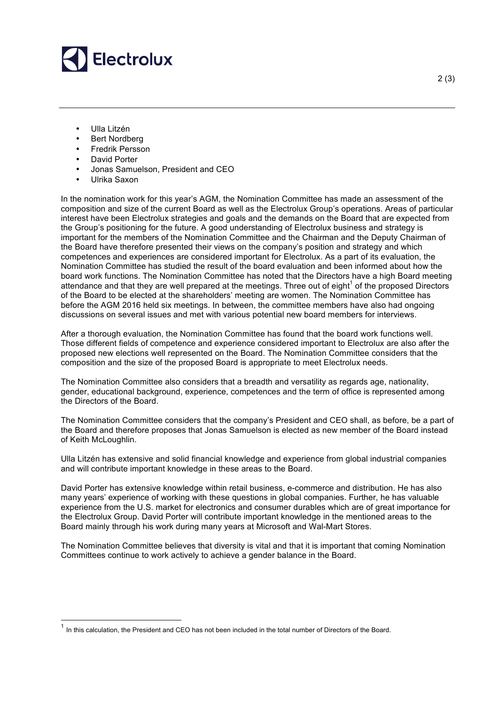

- Ulla Litzén
- Bert Nordberg
- Fredrik Persson
- David Porter
- Jonas Samuelson, President and CEO
- Ulrika Saxon

In the nomination work for this year's AGM, the Nomination Committee has made an assessment of the composition and size of the current Board as well as the Electrolux Group's operations. Areas of particular interest have been Electrolux strategies and goals and the demands on the Board that are expected from the Group's positioning for the future. A good understanding of Electrolux business and strategy is important for the members of the Nomination Committee and the Chairman and the Deputy Chairman of the Board have therefore presented their views on the company's position and strategy and which competences and experiences are considered important for Electrolux. As a part of its evaluation, the Nomination Committee has studied the result of the board evaluation and been informed about how the board work functions. The Nomination Committee has noted that the Directors have a high Board meeting attendance and that they are well prepared at the meetings. Three out of eight<sup>1</sup> of the proposed Directors of the Board to be elected at the shareholders' meeting are women. The Nomination Committee has before the AGM 2016 held six meetings. In between, the committee members have also had ongoing discussions on several issues and met with various potential new board members for interviews.

After a thorough evaluation, the Nomination Committee has found that the board work functions well. Those different fields of competence and experience considered important to Electrolux are also after the proposed new elections well represented on the Board. The Nomination Committee considers that the composition and the size of the proposed Board is appropriate to meet Electrolux needs.

The Nomination Committee also considers that a breadth and versatility as regards age, nationality, gender, educational background, experience, competences and the term of office is represented among the Directors of the Board.

The Nomination Committee considers that the company's President and CEO shall, as before, be a part of the Board and therefore proposes that Jonas Samuelson is elected as new member of the Board instead of Keith McLoughlin.

Ulla Litzén has extensive and solid financial knowledge and experience from global industrial companies and will contribute important knowledge in these areas to the Board.

David Porter has extensive knowledge within retail business, e-commerce and distribution. He has also many years' experience of working with these questions in global companies. Further, he has valuable experience from the U.S. market for electronics and consumer durables which are of great importance for the Electrolux Group. David Porter will contribute important knowledge in the mentioned areas to the Board mainly through his work during many years at Microsoft and Wal-Mart Stores.

The Nomination Committee believes that diversity is vital and that it is important that coming Nomination Committees continue to work actively to achieve a gender balance in the Board.

 $<sup>1</sup>$  In this calculation, the President and CEO has not been included in the total number of Directors of the Board.</sup>